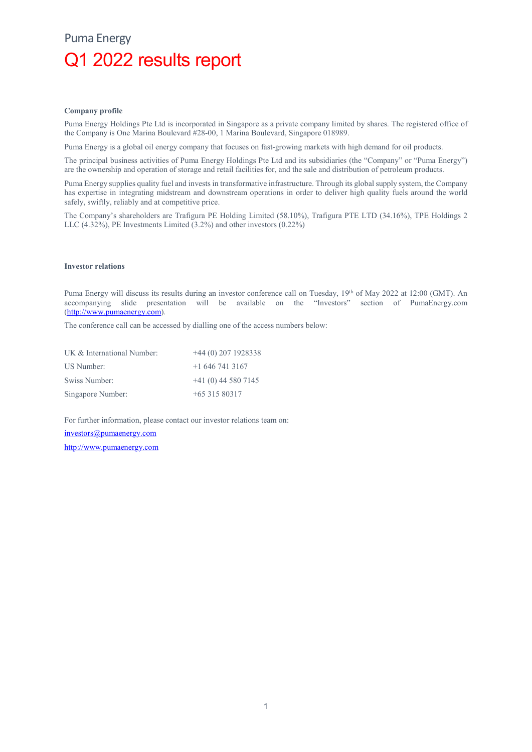## Puma Energy Q1 2022 results report

#### Company profile

Puma Energy Holdings Pte Ltd is incorporated in Singapore as a private company limited by shares. The registered office of the Company is One Marina Boulevard #28-00, 1 Marina Boulevard, Singapore 018989.

Puma Energy is a global oil energy company that focuses on fast-growing markets with high demand for oil products.

The principal business activities of Puma Energy Holdings Pte Ltd and its subsidiaries (the "Company" or "Puma Energy") are the ownership and operation of storage and retail facilities for, and the sale and distribution of petroleum products.

Puma Energy supplies quality fuel and invests in transformative infrastructure. Through its global supply system, the Company has expertise in integrating midstream and downstream operations in order to deliver high quality fuels around the world safely, swiftly, reliably and at competitive price.

The Company's shareholders are Trafigura PE Holding Limited (58.10%), Trafigura PTE LTD (34.16%), TPE Holdings 2 LLC (4.32%), PE Investments Limited (3.2%) and other investors (0.22%)

#### Investor relations

Puma Energy will discuss its results during an investor conference call on Tuesday, 19th of May 2022 at 12:00 (GMT). An accompanying slide presentation will be available on the "Investors" section of PumaEnergy.com (http://www.pumaenergy.com).

The conference call can be accessed by dialling one of the access numbers below:

| UK & International Number: | $+44(0)$ 207 1928338 |
|----------------------------|----------------------|
| US Number:                 | $+16467413167$       |
| Swiss Number:              | $+41(0)$ 44 580 7145 |
| Singapore Number:          | $+6531580317$        |

For further information, please contact our investor relations team on: investors@pumaenergy.com

http://www.pumaenergy.com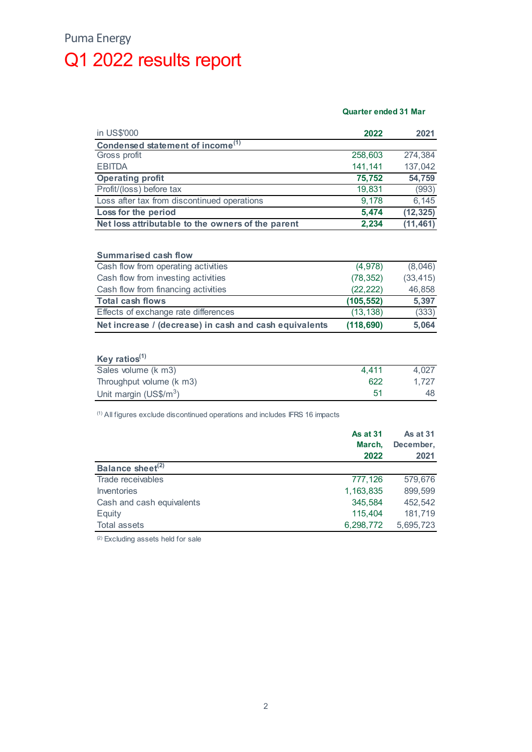## Puma Energy Q1 2022 results report

### Quarter ended 31 Mar

| in US\$'000                                                                                                                   | 2022       | 2021      |
|-------------------------------------------------------------------------------------------------------------------------------|------------|-----------|
| Condensed statement of income <sup>(1)</sup>                                                                                  |            |           |
| Gross profit                                                                                                                  | 258,603    | 274,384   |
| <b>EBITDA</b>                                                                                                                 | 141,141    | 137,042   |
| <b>Operating profit</b>                                                                                                       | 75,752     | 54,759    |
| Profit/(loss) before tax                                                                                                      | 19,831     | (993)     |
| Loss after tax from discontinued operations                                                                                   | 9,178      | 6,145     |
| Loss for the period                                                                                                           | 5,474      | (12, 325) |
| Net loss attributable to the owners of the parent                                                                             | 2,234      | (11, 461) |
|                                                                                                                               |            |           |
| Summarised cash flow                                                                                                          |            |           |
| Cash flow from operating activities                                                                                           | (4,978)    | (8,046)   |
| Cash flow from investing activities                                                                                           | (78, 352)  | (33, 415) |
| Cash flow from financing activities                                                                                           | (22, 222)  | 46,858    |
| <b>Total cash flows</b>                                                                                                       | (105, 552) | 5,397     |
| Effects of exchange rate differences                                                                                          | (13, 138)  | (333)     |
| Net increase / (decrease) in cash and cash equivalents                                                                        | (118, 690) | 5,064     |
|                                                                                                                               |            |           |
| Key ratios $(1)$                                                                                                              |            |           |
| Sales volume (k m3)                                                                                                           | 4,411      | 4,027     |
| Throughput volume (k m3)                                                                                                      | 622        | 1,727     |
|                                                                                                                               | 51         | 48        |
| Unit margin (US\$/m <sup>3</sup> )<br><sup>(1)</sup> All figures exclude discontinued operations and includes IFRS 16 impacts |            |           |

|                              | <b>As at 31</b> | As at 31  |
|------------------------------|-----------------|-----------|
|                              | March,          | December, |
|                              | 2022            | 2021      |
| Balance sheet <sup>(2)</sup> |                 |           |
| Trade receivables            | 777,126         | 579,676   |
| <b>Inventories</b>           | 1,163,835       | 899,599   |
| Cash and cash equivalents    | 345,584         | 452,542   |
| Equity                       | 115,404         | 181,719   |
| Total assets                 | 6,298,772       | 5,695,723 |

(2) Excluding assets held for sale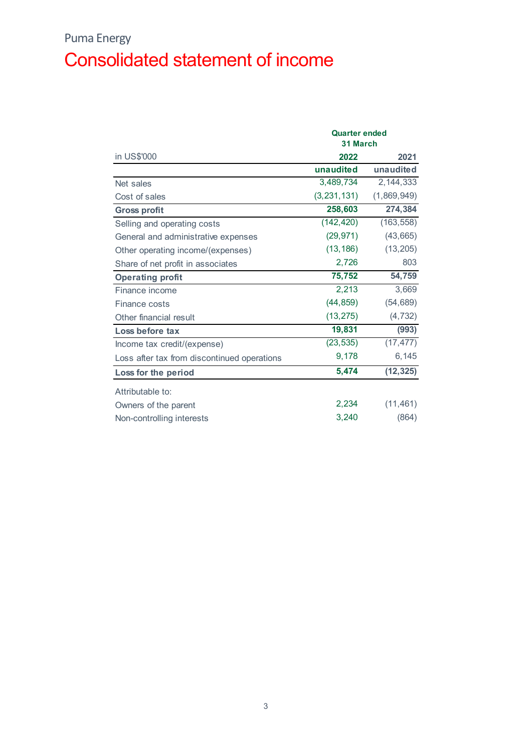## Puma Energy Consolidated statement of income

|                                             | <b>Quarter ended</b><br>31 March |             |
|---------------------------------------------|----------------------------------|-------------|
| in US\$'000                                 | 2022                             | 2021        |
|                                             | unaudited                        | unaudited   |
| Net sales                                   | 3,489,734                        | 2, 144, 333 |
| Cost of sales                               | (3, 231, 131)                    | (1,869,949) |
| <b>Gross profit</b>                         | 258,603                          | 274,384     |
| Selling and operating costs                 | (142, 420)                       | (163, 558)  |
| General and administrative expenses         | (29, 971)                        | (43, 665)   |
| Other operating income/(expenses)           | (13, 186)                        | (13, 205)   |
| Share of net profit in associates           | 2,726                            | 803         |
| <b>Operating profit</b>                     | 75,752                           | 54,759      |
| Finance income                              | 2,213                            | 3,669       |
| Finance costs                               | (44, 859)                        | (54, 689)   |
| Other financial result                      | (13, 275)                        | (4, 732)    |
| Loss before tax                             | 19,831                           | (993)       |
| Income tax credit/(expense)                 | (23, 535)                        | (17, 477)   |
| Loss after tax from discontinued operations | 9,178                            | 6,145       |
| Loss for the period                         | 5,474                            | (12, 325)   |
| Attributable to:                            |                                  |             |
| Owners of the parent                        | 2,234                            | (11, 461)   |
| Non-controlling interests                   | 3,240                            | (864)       |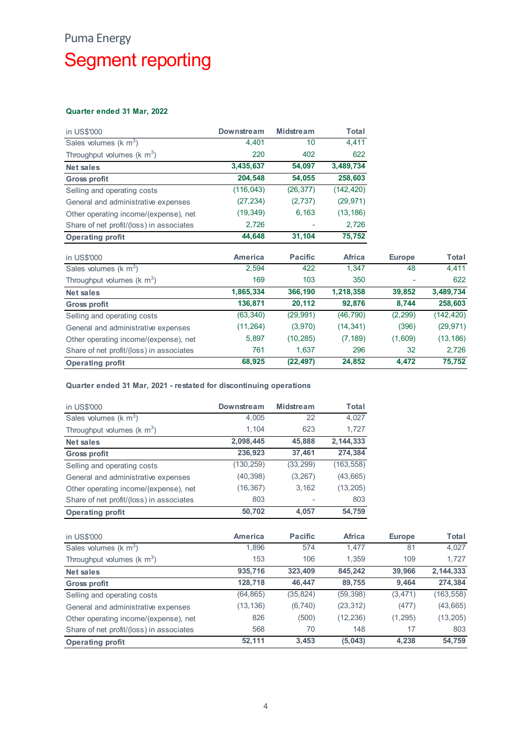## Puma Energy Segment reporting

### Quarter ended 31 Mar, 2022

| <b>Puma Energy</b>                                                 |                   |                |                |               |                |
|--------------------------------------------------------------------|-------------------|----------------|----------------|---------------|----------------|
|                                                                    |                   |                |                |               |                |
| <b>Segment reporting</b>                                           |                   |                |                |               |                |
|                                                                    |                   |                |                |               |                |
|                                                                    |                   |                |                |               |                |
|                                                                    |                   |                |                |               |                |
| Quarter ended 31 Mar, 2022                                         |                   |                |                |               |                |
|                                                                    |                   |                |                |               |                |
| in US\$'000                                                        | <b>Downstream</b> | Midstream      | Total          |               |                |
| Sales volumes ( $k$ m <sup>3</sup> )                               | 4,401             | 10             | 4,411          |               |                |
| Throughput volumes ( $km^3$ )                                      | 220               | 402            | 622            |               |                |
| <b>Net sales</b>                                                   | 3,435,637         | 54,097         | 3,489,734      |               |                |
| <b>Gross profit</b>                                                | 204,548           | 54,055         | 258,603        |               |                |
| Selling and operating costs                                        | (116, 043)        | (26, 377)      | (142, 420)     |               |                |
| General and administrative expenses                                | (27, 234)         | (2,737)        | (29, 971)      |               |                |
| Other operating income/(expense), net                              | (19, 349)         | 6,163          | (13, 186)      |               |                |
| Share of net profit/(loss) in associates                           | 2,726             |                | 2,726          |               |                |
| <b>Operating profit</b>                                            | 44,648            | 31,104         | 75,752         |               |                |
|                                                                    |                   |                |                |               |                |
| in US\$'000                                                        | <b>America</b>    | <b>Pacific</b> | Africa         | <b>Europe</b> | <b>Total</b>   |
| Sales volumes ( $k$ m <sup>3</sup> )                               | 2,594             | 422            | 1,347          | 48            | 4,411          |
| Throughput volumes ( $km^3$ )                                      | 169               | 103            | 350            | $\sim$        | 622            |
| <b>Net sales</b>                                                   | 1,865,334         | 366,190        | 1,218,358      | 39,852        | 3,489,734      |
| <b>Gross profit</b>                                                | 136,871           | 20,112         | 92,876         | 8,744         | 258,603        |
|                                                                    |                   | (29, 991)      | (46, 790)      | (2, 299)      | (142, 420)     |
| Selling and operating costs                                        | (63, 340)         |                |                |               |                |
| General and administrative expenses                                | (11, 264)         | (3,970)        | (14, 341)      | (396)         | (29, 971)      |
| Other operating income/(expense), net                              | 5,897             | (10, 285)      | (7, 189)       | (1,609)       | (13, 186)      |
| Share of net profit/(loss) in associates                           | 761               | 1,637          | 296            | 32            | 2,726          |
| <b>Operating profit</b>                                            | 68,925            | (22, 497)      | 24,852         | 4,472         | 75,752         |
| Quarter ended 31 Mar, 2021 - restated for discontinuing operations |                   |                |                |               |                |
|                                                                    | Downstream        | Midstream      | <b>Total</b>   |               |                |
| in US\$'000                                                        | 4,005             | 22             | 4,027          |               |                |
| Sales volumes ( $k$ m <sup>3</sup> )                               | 1,104             | 623            | 1,727          |               |                |
| Throughput volumes ( $km^3$ )                                      |                   |                |                |               |                |
| <b>Net sales</b>                                                   | 2,098,445         | 45,888         | 2, 144, 333    |               |                |
| <b>Gross profit</b>                                                | 236,923           | 37,461         | 274,384        |               |                |
| Selling and operating costs                                        | (130, 259)        | (33, 299)      | (163, 558)     |               |                |
| General and administrative expenses                                | (40, 398)         | (3, 267)       | (43, 665)      |               |                |
| Other operating income/(expense), net                              | (16, 367)         | 3,162          | (13, 205)      |               |                |
| Share of net profit/(loss) in associates                           | 803               |                | 803            |               |                |
| <b>Operating profit</b>                                            | 50,702            | 4,057          | 54,759         |               |                |
|                                                                    |                   |                |                |               |                |
| in US\$'000                                                        | America           | <b>Pacific</b> | Africa         | <b>Europe</b> | Total          |
| Sales volumes ( $km^3$ )<br>Throughput volumes ( $km^3$ )          | 1,896<br>153      | 574<br>106     | 1,477<br>1,359 | 81<br>109     | 4,027<br>1,727 |

| <b>Gross profit</b>                                                                                                                                                                                                            | 136,871           | 20,112           | 92,876        | 8,744         | 258,603      |
|--------------------------------------------------------------------------------------------------------------------------------------------------------------------------------------------------------------------------------|-------------------|------------------|---------------|---------------|--------------|
| Selling and operating costs                                                                                                                                                                                                    | (63, 340)         | (29, 991)        | (46, 790)     | (2, 299)      | (142, 420)   |
| General and administrative expenses                                                                                                                                                                                            | (11, 264)         | (3,970)          | (14, 341)     | (396)         | (29, 971)    |
| Other operating income/(expense), net                                                                                                                                                                                          | 5,897             | (10, 285)        | (7, 189)      | (1,609)       | (13, 186)    |
| Share of net profit/(loss) in associates                                                                                                                                                                                       | 761               | 1,637            | 296           | 32            | 2,726        |
| <b>Operating profit</b>                                                                                                                                                                                                        | 68,925            | (22, 497)        | 24,852        | 4,472         | 75,752       |
| Quarter ended 31 Mar, 2021 - restated for discontinuing operations                                                                                                                                                             |                   |                  |               |               |              |
| in US\$'000                                                                                                                                                                                                                    | <b>Downstream</b> | <b>Midstream</b> | <b>Total</b>  |               |              |
| Sales volumes ( $k$ m <sup>3</sup> )                                                                                                                                                                                           | 4,005             | 22               | 4,027         |               |              |
| Throughput volumes ( $km^3$ )                                                                                                                                                                                                  | 1,104             | 623              | 1,727         |               |              |
| <b>Net sales</b>                                                                                                                                                                                                               | 2,098,445         | 45,888           | 2, 144, 333   |               |              |
| <b>Gross profit</b>                                                                                                                                                                                                            | 236,923           | 37,461           | 274,384       |               |              |
| Selling and operating costs                                                                                                                                                                                                    | (130, 259)        | (33, 299)        | (163, 558)    |               |              |
| General and administrative expenses                                                                                                                                                                                            | (40, 398)         | (3,267)          | (43, 665)     |               |              |
| Other operating income/(expense), net                                                                                                                                                                                          | (16, 367)         | 3,162            | (13, 205)     |               |              |
| Share of net profit/(loss) in associates                                                                                                                                                                                       | 803               |                  | 803           |               |              |
| <b>Operating profit</b>                                                                                                                                                                                                        | 50,702            | 4,057            | 54,759        |               |              |
| in US\$'000                                                                                                                                                                                                                    | <b>America</b>    | <b>Pacific</b>   | <b>Africa</b> | <b>Europe</b> | <b>Total</b> |
| Sales volumes ( $k \, \text{m}^3$ )                                                                                                                                                                                            | 1,896             | 574              | 1.477         | 81            | 4,027        |
| Throughput volumes ( $km^3$ )                                                                                                                                                                                                  | 153               | 106              | 1,359         | 109           | 1,727        |
| <b>Net sales</b>                                                                                                                                                                                                               | 935,716           | 323,409          | 845,242       | 39,966        | 2, 144, 333  |
| <b>Gross profit</b>                                                                                                                                                                                                            | 128,718           | 46,447           | 89,755        | 9,464         | 274,384      |
| Selling and operating costs                                                                                                                                                                                                    | (64, 865)         | (35, 824)        | (59, 398)     | (3, 471)      | (163, 558)   |
| the contract of the contract of the contract of the contract of the contract of the contract of the contract of the contract of the contract of the contract of the contract of the contract of the contract of the contract o | (42.42)           | (0.710)          | (22.2)        | (177)         | $(42)$ CCE)  |

| General and administrative expenses                                | (11,264)       | (3,970)        | (14, 341)     | (396)         | (29, 971)  |
|--------------------------------------------------------------------|----------------|----------------|---------------|---------------|------------|
| Other operating income/(expense), net                              | 5,897          | (10, 285)      | (7, 189)      | (1,609)       | (13, 186)  |
| Share of net profit/(loss) in associates                           | 761            | 1,637          | 296           | 32            | 2,726      |
| <b>Operating profit</b>                                            | 68,925         | (22, 497)      | 24,852        | 4,472         | 75,752     |
|                                                                    |                |                |               |               |            |
| Quarter ended 31 Mar, 2021 - restated for discontinuing operations |                |                |               |               |            |
| in US\$'000                                                        | Downstream     | Midstream      | <b>Total</b>  |               |            |
| Sales volumes ( $k \, \text{m}^3$ )                                | 4,005          | 22             | 4,027         |               |            |
| Throughput volumes ( $km^3$ )                                      | 1,104          | 623            | 1,727         |               |            |
| <b>Net sales</b>                                                   | 2,098,445      | 45,888         | 2, 144, 333   |               |            |
| <b>Gross profit</b>                                                | 236,923        | 37,461         | 274,384       |               |            |
| Selling and operating costs                                        | (130, 259)     | (33, 299)      | (163, 558)    |               |            |
| General and administrative expenses                                | (40, 398)      | (3, 267)       | (43, 665)     |               |            |
| Other operating income/(expense), net                              | (16, 367)      | 3,162          | (13, 205)     |               |            |
| Share of net profit/(loss) in associates                           | 803            |                | 803           |               |            |
| <b>Operating profit</b>                                            | 50,702         | 4,057          | 54,759        |               |            |
|                                                                    |                |                |               |               |            |
| in US\$'000                                                        | <b>America</b> | <b>Pacific</b> | <b>Africa</b> | <b>Europe</b> | Total      |
| Sales volumes ( $k$ m <sup>3</sup> )                               | 1,896          | 574            | 1,477         | 81            | 4,027      |
| Throughput volumes ( $km^3$ )                                      | 153            | 106            | 1,359         | 109           | 1,727      |
| <b>Net sales</b>                                                   | 935,716        | 323,409        | 845,242       | 39,966        | 2,144,333  |
| <b>Gross profit</b>                                                | 128,718        | 46,447         | 89,755        | 9,464         | 274,384    |
| Selling and operating costs                                        | (64, 865)      | (35, 824)      | (59, 398)     | (3, 471)      | (163, 558) |
| General and administrative expenses                                | (13, 136)      | (6, 740)       | (23, 312)     | (477)         | (43, 665)  |
| Other operating income/(expense), net                              | 826            | (500)          | (12, 236)     | (1, 295)      | (13, 205)  |
| Share of net profit/(loss) in associates                           | 568            | 70             | 148           | 17            | 803        |
| <b>Operating profit</b>                                            | 52,111         | 3,453          | (5,043)       | 4,238         | 54,759     |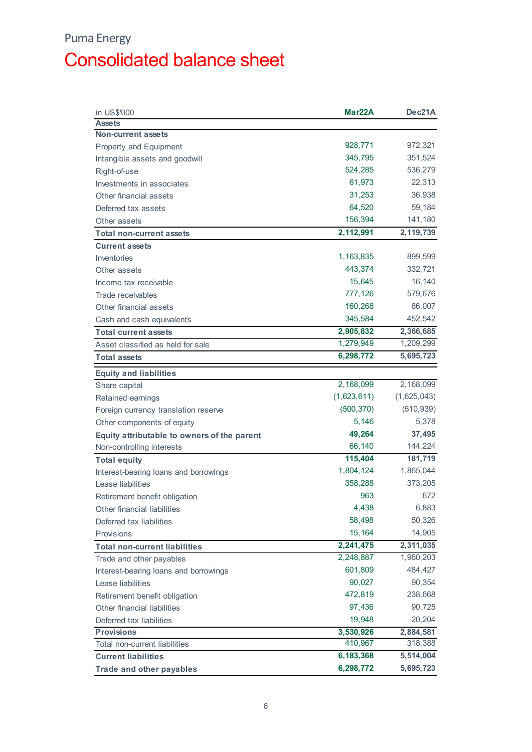## Puma Energy Consolidated balance sheet

| 928,771<br>972,321<br>345,795<br>351,524<br>524,285<br>536,279<br>61,973<br>22,313<br>31,253<br>36,938<br>64,520<br>59,184<br>156,394<br>141,180<br>2,119,739<br>2,112,991<br>1,163,835<br>899,599<br>443,374<br>332,721<br>15,645<br>16,140<br>Income tax receivable<br>777,126<br>579,676<br>160,268<br>86,007<br>Other financial assets<br>345,584<br>452,542<br>Cash and cash equivalents<br>2,905,832<br>2,366,685<br><b>Total current assets</b><br>1,279,949<br>1,209,299<br>Asset classified as held for sale<br>5,695,723<br>6,298,772<br><b>Total assets</b><br><b>Equity and liabilities</b><br>2,168,099<br>2,168,099<br>Share capital<br>(1,623,611)<br>(1,625,043)<br>Retained earnings<br>(500, 370)<br>(510, 939)<br>Foreign currency translation reserve<br>5,378<br>5,146<br>Other components of equity<br>37,495<br>49,264<br>Equity attributable to owners of the parent<br>66,140<br>144,224<br>115,404<br>181,719<br>1,804,124<br>1,865,044<br>358,288<br>373,205<br>963<br>672<br>4,438<br>6,883<br>58,498<br>50,326<br>15,164<br>14,905<br>2,241,475<br>2,311,035<br>1,960,203<br>2,248,887<br>601,809<br>484,427<br>90,027<br>90,354<br>472,819<br>238,668<br>Retirement benefit obligation<br>97,436<br>90,725<br>Other financial liabilities<br>19,948<br>20,204<br>Deferred tax liabilities<br>2,884,581<br><b>Provisions</b><br>3,530,926<br>318,388<br>410,967<br>Total non-current liabilities<br>5,514,004<br>6,183,368<br><b>Current liabilities</b> | in US\$'000                           | Mar <sub>22</sub> A | Dec21A    |
|---------------------------------------------------------------------------------------------------------------------------------------------------------------------------------------------------------------------------------------------------------------------------------------------------------------------------------------------------------------------------------------------------------------------------------------------------------------------------------------------------------------------------------------------------------------------------------------------------------------------------------------------------------------------------------------------------------------------------------------------------------------------------------------------------------------------------------------------------------------------------------------------------------------------------------------------------------------------------------------------------------------------------------------------------------------------------------------------------------------------------------------------------------------------------------------------------------------------------------------------------------------------------------------------------------------------------------------------------------------------------------------------------------------------------------------------------------------------------------------|---------------------------------------|---------------------|-----------|
|                                                                                                                                                                                                                                                                                                                                                                                                                                                                                                                                                                                                                                                                                                                                                                                                                                                                                                                                                                                                                                                                                                                                                                                                                                                                                                                                                                                                                                                                                       | <b>Assets</b>                         |                     |           |
|                                                                                                                                                                                                                                                                                                                                                                                                                                                                                                                                                                                                                                                                                                                                                                                                                                                                                                                                                                                                                                                                                                                                                                                                                                                                                                                                                                                                                                                                                       | <b>Non-current assets</b>             |                     |           |
|                                                                                                                                                                                                                                                                                                                                                                                                                                                                                                                                                                                                                                                                                                                                                                                                                                                                                                                                                                                                                                                                                                                                                                                                                                                                                                                                                                                                                                                                                       | Property and Equipment                |                     |           |
|                                                                                                                                                                                                                                                                                                                                                                                                                                                                                                                                                                                                                                                                                                                                                                                                                                                                                                                                                                                                                                                                                                                                                                                                                                                                                                                                                                                                                                                                                       | Intangible assets and goodwill        |                     |           |
|                                                                                                                                                                                                                                                                                                                                                                                                                                                                                                                                                                                                                                                                                                                                                                                                                                                                                                                                                                                                                                                                                                                                                                                                                                                                                                                                                                                                                                                                                       | Right-of-use                          |                     |           |
|                                                                                                                                                                                                                                                                                                                                                                                                                                                                                                                                                                                                                                                                                                                                                                                                                                                                                                                                                                                                                                                                                                                                                                                                                                                                                                                                                                                                                                                                                       | Investments in associates             |                     |           |
|                                                                                                                                                                                                                                                                                                                                                                                                                                                                                                                                                                                                                                                                                                                                                                                                                                                                                                                                                                                                                                                                                                                                                                                                                                                                                                                                                                                                                                                                                       | Other financial assets                |                     |           |
|                                                                                                                                                                                                                                                                                                                                                                                                                                                                                                                                                                                                                                                                                                                                                                                                                                                                                                                                                                                                                                                                                                                                                                                                                                                                                                                                                                                                                                                                                       | Deferred tax assets                   |                     |           |
|                                                                                                                                                                                                                                                                                                                                                                                                                                                                                                                                                                                                                                                                                                                                                                                                                                                                                                                                                                                                                                                                                                                                                                                                                                                                                                                                                                                                                                                                                       | Other assets                          |                     |           |
|                                                                                                                                                                                                                                                                                                                                                                                                                                                                                                                                                                                                                                                                                                                                                                                                                                                                                                                                                                                                                                                                                                                                                                                                                                                                                                                                                                                                                                                                                       | <b>Total non-current assets</b>       |                     |           |
|                                                                                                                                                                                                                                                                                                                                                                                                                                                                                                                                                                                                                                                                                                                                                                                                                                                                                                                                                                                                                                                                                                                                                                                                                                                                                                                                                                                                                                                                                       | <b>Current assets</b>                 |                     |           |
|                                                                                                                                                                                                                                                                                                                                                                                                                                                                                                                                                                                                                                                                                                                                                                                                                                                                                                                                                                                                                                                                                                                                                                                                                                                                                                                                                                                                                                                                                       | Inventories                           |                     |           |
|                                                                                                                                                                                                                                                                                                                                                                                                                                                                                                                                                                                                                                                                                                                                                                                                                                                                                                                                                                                                                                                                                                                                                                                                                                                                                                                                                                                                                                                                                       | Other assets                          |                     |           |
|                                                                                                                                                                                                                                                                                                                                                                                                                                                                                                                                                                                                                                                                                                                                                                                                                                                                                                                                                                                                                                                                                                                                                                                                                                                                                                                                                                                                                                                                                       |                                       |                     |           |
|                                                                                                                                                                                                                                                                                                                                                                                                                                                                                                                                                                                                                                                                                                                                                                                                                                                                                                                                                                                                                                                                                                                                                                                                                                                                                                                                                                                                                                                                                       | Trade receivables                     |                     |           |
|                                                                                                                                                                                                                                                                                                                                                                                                                                                                                                                                                                                                                                                                                                                                                                                                                                                                                                                                                                                                                                                                                                                                                                                                                                                                                                                                                                                                                                                                                       |                                       |                     |           |
|                                                                                                                                                                                                                                                                                                                                                                                                                                                                                                                                                                                                                                                                                                                                                                                                                                                                                                                                                                                                                                                                                                                                                                                                                                                                                                                                                                                                                                                                                       |                                       |                     |           |
|                                                                                                                                                                                                                                                                                                                                                                                                                                                                                                                                                                                                                                                                                                                                                                                                                                                                                                                                                                                                                                                                                                                                                                                                                                                                                                                                                                                                                                                                                       |                                       |                     |           |
|                                                                                                                                                                                                                                                                                                                                                                                                                                                                                                                                                                                                                                                                                                                                                                                                                                                                                                                                                                                                                                                                                                                                                                                                                                                                                                                                                                                                                                                                                       |                                       |                     |           |
|                                                                                                                                                                                                                                                                                                                                                                                                                                                                                                                                                                                                                                                                                                                                                                                                                                                                                                                                                                                                                                                                                                                                                                                                                                                                                                                                                                                                                                                                                       |                                       |                     |           |
|                                                                                                                                                                                                                                                                                                                                                                                                                                                                                                                                                                                                                                                                                                                                                                                                                                                                                                                                                                                                                                                                                                                                                                                                                                                                                                                                                                                                                                                                                       |                                       |                     |           |
|                                                                                                                                                                                                                                                                                                                                                                                                                                                                                                                                                                                                                                                                                                                                                                                                                                                                                                                                                                                                                                                                                                                                                                                                                                                                                                                                                                                                                                                                                       |                                       |                     |           |
|                                                                                                                                                                                                                                                                                                                                                                                                                                                                                                                                                                                                                                                                                                                                                                                                                                                                                                                                                                                                                                                                                                                                                                                                                                                                                                                                                                                                                                                                                       |                                       |                     |           |
|                                                                                                                                                                                                                                                                                                                                                                                                                                                                                                                                                                                                                                                                                                                                                                                                                                                                                                                                                                                                                                                                                                                                                                                                                                                                                                                                                                                                                                                                                       |                                       |                     |           |
|                                                                                                                                                                                                                                                                                                                                                                                                                                                                                                                                                                                                                                                                                                                                                                                                                                                                                                                                                                                                                                                                                                                                                                                                                                                                                                                                                                                                                                                                                       |                                       |                     |           |
|                                                                                                                                                                                                                                                                                                                                                                                                                                                                                                                                                                                                                                                                                                                                                                                                                                                                                                                                                                                                                                                                                                                                                                                                                                                                                                                                                                                                                                                                                       |                                       |                     |           |
|                                                                                                                                                                                                                                                                                                                                                                                                                                                                                                                                                                                                                                                                                                                                                                                                                                                                                                                                                                                                                                                                                                                                                                                                                                                                                                                                                                                                                                                                                       |                                       |                     |           |
|                                                                                                                                                                                                                                                                                                                                                                                                                                                                                                                                                                                                                                                                                                                                                                                                                                                                                                                                                                                                                                                                                                                                                                                                                                                                                                                                                                                                                                                                                       | Non-controlling interests             |                     |           |
|                                                                                                                                                                                                                                                                                                                                                                                                                                                                                                                                                                                                                                                                                                                                                                                                                                                                                                                                                                                                                                                                                                                                                                                                                                                                                                                                                                                                                                                                                       | <b>Total equity</b>                   |                     |           |
|                                                                                                                                                                                                                                                                                                                                                                                                                                                                                                                                                                                                                                                                                                                                                                                                                                                                                                                                                                                                                                                                                                                                                                                                                                                                                                                                                                                                                                                                                       | Interest-bearing loans and borrowings |                     |           |
|                                                                                                                                                                                                                                                                                                                                                                                                                                                                                                                                                                                                                                                                                                                                                                                                                                                                                                                                                                                                                                                                                                                                                                                                                                                                                                                                                                                                                                                                                       | Lease liabilities                     |                     |           |
|                                                                                                                                                                                                                                                                                                                                                                                                                                                                                                                                                                                                                                                                                                                                                                                                                                                                                                                                                                                                                                                                                                                                                                                                                                                                                                                                                                                                                                                                                       | Retirement benefit obligation         |                     |           |
|                                                                                                                                                                                                                                                                                                                                                                                                                                                                                                                                                                                                                                                                                                                                                                                                                                                                                                                                                                                                                                                                                                                                                                                                                                                                                                                                                                                                                                                                                       | Other financial liabilities           |                     |           |
|                                                                                                                                                                                                                                                                                                                                                                                                                                                                                                                                                                                                                                                                                                                                                                                                                                                                                                                                                                                                                                                                                                                                                                                                                                                                                                                                                                                                                                                                                       | Deferred tax liabilities              |                     |           |
|                                                                                                                                                                                                                                                                                                                                                                                                                                                                                                                                                                                                                                                                                                                                                                                                                                                                                                                                                                                                                                                                                                                                                                                                                                                                                                                                                                                                                                                                                       | Provisions                            |                     |           |
|                                                                                                                                                                                                                                                                                                                                                                                                                                                                                                                                                                                                                                                                                                                                                                                                                                                                                                                                                                                                                                                                                                                                                                                                                                                                                                                                                                                                                                                                                       | <b>Total non-current liabilities</b>  |                     |           |
|                                                                                                                                                                                                                                                                                                                                                                                                                                                                                                                                                                                                                                                                                                                                                                                                                                                                                                                                                                                                                                                                                                                                                                                                                                                                                                                                                                                                                                                                                       | Trade and other payables              |                     |           |
|                                                                                                                                                                                                                                                                                                                                                                                                                                                                                                                                                                                                                                                                                                                                                                                                                                                                                                                                                                                                                                                                                                                                                                                                                                                                                                                                                                                                                                                                                       | Interest-bearing loans and borrowings |                     |           |
|                                                                                                                                                                                                                                                                                                                                                                                                                                                                                                                                                                                                                                                                                                                                                                                                                                                                                                                                                                                                                                                                                                                                                                                                                                                                                                                                                                                                                                                                                       | Lease liabilities                     |                     |           |
|                                                                                                                                                                                                                                                                                                                                                                                                                                                                                                                                                                                                                                                                                                                                                                                                                                                                                                                                                                                                                                                                                                                                                                                                                                                                                                                                                                                                                                                                                       |                                       |                     |           |
|                                                                                                                                                                                                                                                                                                                                                                                                                                                                                                                                                                                                                                                                                                                                                                                                                                                                                                                                                                                                                                                                                                                                                                                                                                                                                                                                                                                                                                                                                       |                                       |                     |           |
|                                                                                                                                                                                                                                                                                                                                                                                                                                                                                                                                                                                                                                                                                                                                                                                                                                                                                                                                                                                                                                                                                                                                                                                                                                                                                                                                                                                                                                                                                       |                                       |                     |           |
|                                                                                                                                                                                                                                                                                                                                                                                                                                                                                                                                                                                                                                                                                                                                                                                                                                                                                                                                                                                                                                                                                                                                                                                                                                                                                                                                                                                                                                                                                       |                                       |                     |           |
|                                                                                                                                                                                                                                                                                                                                                                                                                                                                                                                                                                                                                                                                                                                                                                                                                                                                                                                                                                                                                                                                                                                                                                                                                                                                                                                                                                                                                                                                                       |                                       |                     |           |
|                                                                                                                                                                                                                                                                                                                                                                                                                                                                                                                                                                                                                                                                                                                                                                                                                                                                                                                                                                                                                                                                                                                                                                                                                                                                                                                                                                                                                                                                                       |                                       |                     |           |
|                                                                                                                                                                                                                                                                                                                                                                                                                                                                                                                                                                                                                                                                                                                                                                                                                                                                                                                                                                                                                                                                                                                                                                                                                                                                                                                                                                                                                                                                                       | Trade and other payables              | 6,298,772           | 5,695,723 |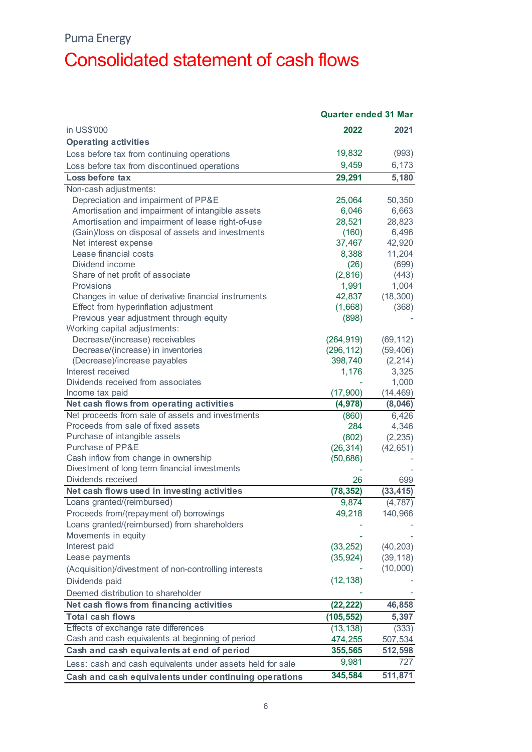### Puma Energy

# Consolidated statement of cash flows

|                                                            | <b>Quarter ended 31 Mar</b> |           |
|------------------------------------------------------------|-----------------------------|-----------|
| in US\$'000                                                | 2022                        | 2021      |
| <b>Operating activities</b>                                |                             |           |
| Loss before tax from continuing operations                 | 19,832                      | (993)     |
| Loss before tax from discontinued operations               | 9,459                       | 6,173     |
| Loss before tax                                            | 29,291                      | 5,180     |
| Non-cash adjustments:                                      |                             |           |
| Depreciation and impairment of PP&E                        | 25,064                      | 50,350    |
| Amortisation and impairment of intangible assets           | 6,046                       | 6,663     |
| Amortisation and impairment of lease right-of-use          | 28,521                      | 28,823    |
| (Gain)/loss on disposal of assets and investments          | (160)                       | 6,496     |
| Net interest expense                                       | 37,467                      | 42,920    |
| Lease financial costs                                      | 8,388                       | 11,204    |
| Dividend income                                            | (26)                        | (699)     |
| Share of net profit of associate                           | (2,816)                     | (443)     |
| Provisions                                                 | 1,991                       | 1,004     |
| Changes in value of derivative financial instruments       | 42,837                      | (18, 300) |
| Effect from hyperinflation adjustment                      | (1,668)                     | (368)     |
| Previous year adjustment through equity                    | (898)                       |           |
| Working capital adjustments:                               |                             |           |
| Decrease/(increase) receivables                            | (264, 919)                  | (69, 112) |
| Decrease/(increase) in inventories                         | (296, 112)                  | (59, 406) |
| (Decrease)/increase payables                               | 398,740                     | (2, 214)  |
| Interest received                                          | 1,176                       | 3,325     |
| Dividends received from associates                         |                             | 1,000     |
| Income tax paid                                            | (17,900)                    | (14, 469) |
| Net cash flows from operating activities                   | (4, 978)                    | (8,046)   |
| Net proceeds from sale of assets and investments           | (860)                       | 6,426     |
| Proceeds from sale of fixed assets                         | 284                         | 4,346     |
| Purchase of intangible assets                              | (802)                       | (2, 235)  |
| Purchase of PP&E                                           | (26, 314)                   | (42, 651) |
| Cash inflow from change in ownership                       | (50, 686)                   |           |
| Divestment of long term financial investments              |                             |           |
| Dividends received                                         | 26                          | 699       |
| Net cash flows used in investing activities                | (78, 352)                   | (33, 415) |
| Loans granted/(reimbursed)                                 | 9,874                       | (4, 787)  |
| Proceeds from/(repayment of) borrowings                    | 49,218                      | 140,966   |
| Loans granted/(reimbursed) from shareholders               |                             |           |
| Movements in equity                                        |                             |           |
| Interest paid                                              | (33, 252)                   | (40, 203) |
| Lease payments                                             | (35, 924)                   | (39, 118) |
| (Acquisition)/divestment of non-controlling interests      |                             | (10,000)  |
| Dividends paid                                             | (12, 138)                   |           |
| Deemed distribution to shareholder                         |                             |           |
| Net cash flows from financing activities                   | (22, 222)                   | 46,858    |
| <b>Total cash flows</b>                                    | (105, 552)                  | 5,397     |
| Effects of exchange rate differences                       | (13, 138)                   | (333)     |
| Cash and cash equivalents at beginning of period           | 474,255                     | 507,534   |
| Cash and cash equivalents at end of period                 | 355,565                     | 512,598   |
| Less: cash and cash equivalents under assets held for sale | 9,981                       | 727       |
|                                                            |                             |           |
| Cash and cash equivalents under continuing operations      | 345,584                     | 511,871   |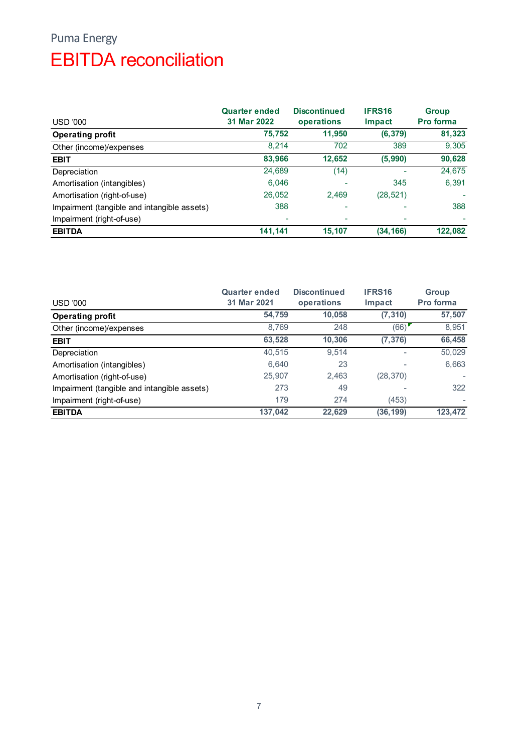## Puma Energy EBITDA reconciliation

| <b>Puma Energy</b>                          |                      |                     |                          |              |
|---------------------------------------------|----------------------|---------------------|--------------------------|--------------|
|                                             |                      |                     |                          |              |
| <b>EBITDA</b> reconciliation                |                      |                     |                          |              |
|                                             |                      |                     |                          |              |
|                                             |                      |                     |                          |              |
|                                             |                      |                     |                          |              |
|                                             | <b>Quarter ended</b> | <b>Discontinued</b> | IFRS16                   | <b>Group</b> |
| <b>USD '000</b>                             | 31 Mar 2022          | operations          | Impact                   | Pro forma    |
| <b>Operating profit</b>                     | 75,752               | 11,950              | (6, 379)                 | 81,323       |
| Other (income)/expenses                     | 8,214                | 702                 | 389                      | 9,305        |
| <b>EBIT</b>                                 | 83,966               | 12,652              | (5, 990)                 | 90,628       |
| Depreciation                                | 24,689               | (14)                | $\sim$                   | 24,675       |
| Amortisation (intangibles)                  | 6,046                | $\overline{a}$      | 345                      | 6,391        |
| Amortisation (right-of-use)                 | 26,052               | 2,469               | (28, 521)                |              |
| Impairment (tangible and intangible assets) | 388                  | $\overline{a}$      | $\overline{\phantom{a}}$ | 388          |
| Impairment (right-of-use)                   |                      |                     | $\overline{\phantom{a}}$ |              |
| <b>EBITDA</b>                               | 141,141              | 15,107              | (34, 166)                | 122,082      |
|                                             |                      |                     |                          |              |
|                                             |                      |                     |                          |              |
|                                             |                      |                     |                          |              |
|                                             |                      |                     |                          |              |
|                                             | <b>Quarter ended</b> | <b>Discontinued</b> | IFRS16                   | Group        |
| <b>USD '000</b>                             | 31 Mar 2021          | operations          | Impact                   | Pro forma    |
| <b>Operating profit</b>                     | 54,759               | 10,058              | (7, 310)                 | 57,507       |
|                                             | 8,769                | 248                 | (66)                     | 8,951        |
| Other (income)/expenses                     |                      |                     |                          |              |
| <b>EBIT</b>                                 | 63,528               | 10,306              | (7, 376)                 | 66,458       |
| Depreciation                                | 40,515               | 9,514               |                          | 50,029       |
| Amortisation (intangibles)                  | 6,640                | 23                  |                          | 6,663        |
| Amortisation (right-of-use)                 | 25,907               | 2,463               | (28, 370)                | ÷,           |
| Impairment (tangible and intangible assets) | 273                  | 49                  |                          | 322          |

| <b>USD '000</b>                             | 31 Mar 2022          | operations          | Impact                   | Pro forma |
|---------------------------------------------|----------------------|---------------------|--------------------------|-----------|
| <b>Operating profit</b>                     | 75,752               | 11,950              | (6, 379)                 | 81,323    |
| Other (income)/expenses                     | 8,214                | 702                 | 389                      | 9,305     |
| <b>EBIT</b>                                 | 83,966               | 12,652              | (5, 990)                 | 90,628    |
| Depreciation                                | 24,689               | (14)                |                          | 24,675    |
| Amortisation (intangibles)                  | 6,046                |                     | 345                      | 6,391     |
| Amortisation (right-of-use)                 | 26,052               | 2,469               | (28, 521)                |           |
| Impairment (tangible and intangible assets) | 388                  |                     |                          | 388       |
| Impairment (right-of-use)                   |                      | $\blacksquare$      | $\blacksquare$           |           |
| <b>EBITDA</b>                               | 141,141              | 15,107              | (34, 166)                | 122,082   |
|                                             | <b>Quarter ended</b> | <b>Discontinued</b> | IFRS16                   | Group     |
| <b>USD '000</b>                             | 31 Mar 2021          | operations          | Impact                   | Pro forma |
| <b>Operating profit</b>                     | 54,759               | 10,058              | (7, 310)                 | 57,507    |
| Other (income)/expenses                     | 8,769                | 248                 | (66)                     | 8,951     |
| <b>EBIT</b>                                 | 63,528               | 10,306              | (7, 376)                 | 66,458    |
| Depreciation                                | 40,515               | 9,514               | $\overline{\phantom{a}}$ | 50,029    |
| Amortisation (intangibles)                  | 6,640                | 23                  |                          | 6,663     |
| Amortisation (right-of-use)                 | 25,907               | 2,463               | (28, 370)                |           |
| Impairment (tangible and intangible assets) | 273                  | 49                  |                          | 322       |
| Impairment (right-of-use)                   | 179                  | 274                 | (453)                    | ÷         |
| <b>EBITDA</b>                               | 137,042              | 22,629              | (36, 199)                | 123,472   |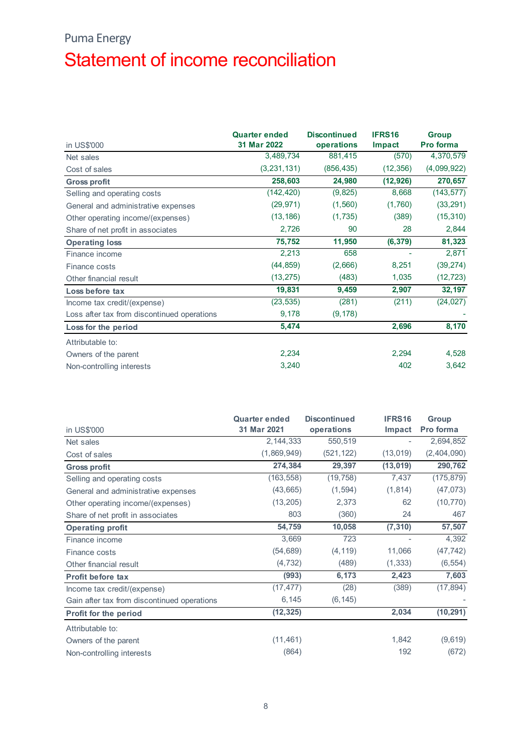## Puma Energy Statement of income reconciliation

| <b>Puma Energy</b>                          |                      |                     |                          |              |
|---------------------------------------------|----------------------|---------------------|--------------------------|--------------|
|                                             |                      |                     |                          |              |
| Statement of income reconciliation          |                      |                     |                          |              |
|                                             |                      |                     |                          |              |
|                                             |                      |                     |                          |              |
|                                             |                      |                     |                          |              |
|                                             |                      |                     |                          |              |
|                                             |                      |                     |                          |              |
|                                             | <b>Quarter ended</b> | <b>Discontinued</b> | IFRS16                   | <b>Group</b> |
| in US\$'000                                 | 31 Mar 2022          | operations          | <b>Impact</b>            | Pro forma    |
| Net sales                                   | 3,489,734            | 881,415             | (570)                    | 4,370,579    |
| Cost of sales                               | (3, 231, 131)        | (856, 435)          | (12, 356)                | (4,099,922)  |
| <b>Gross profit</b>                         | 258,603              | 24,980              | (12, 926)                | 270,657      |
| Selling and operating costs                 | (142, 420)           | (9, 825)            | 8,668                    | (143, 577)   |
| General and administrative expenses         | (29, 971)            | (1, 560)            | (1,760)                  | (33, 291)    |
| Other operating income/(expenses)           | (13, 186)            | (1,735)             | (389)                    | (15, 310)    |
| Share of net profit in associates           | 2,726                | 90                  | 28                       | 2,844        |
| <b>Operating loss</b>                       | 75,752               | 11,950              | (6, 379)                 | 81,323       |
| Finance income                              | 2,213                | 658                 | $\blacksquare$           | 2,871        |
| Finance costs                               | (44, 859)            | (2,666)             | 8,251                    | (39, 274)    |
| Other financial result                      | (13, 275)            | (483)               | 1,035                    | (12, 723)    |
| Loss before tax                             | 19,831               | 9,459               | 2,907                    | 32,197       |
| Income tax credit/(expense)                 | (23, 535)            | (281)               | (211)                    | (24, 027)    |
| Loss after tax from discontinued operations | 9,178                | (9, 178)            |                          |              |
| Loss for the period                         | 5,474                |                     | 2,696                    | 8,170        |
|                                             |                      |                     |                          |              |
| Attributable to:                            |                      |                     |                          |              |
| Owners of the parent                        | 2,234                |                     | 2,294                    | 4,528        |
| Non-controlling interests                   | 3,240                |                     | 402                      | 3,642        |
|                                             |                      |                     |                          |              |
|                                             |                      |                     |                          |              |
|                                             |                      |                     |                          |              |
|                                             | <b>Quarter ended</b> | <b>Discontinued</b> | IFRS16                   | Group        |
| in US\$'000                                 | 31 Mar 2021          | operations          | Impact                   | Pro forma    |
| Net sales                                   | 2, 144, 333          | 550,519             | $\overline{\phantom{a}}$ | 2,694,852    |
| Cost of sales                               | (1,869,949)          | (521, 122)          | (13, 019)                | (2,404,090)  |
| <b>Gross profit</b>                         | 274,384              | 29,397              | (13, 019)                | 290,762      |
| Selling and operating costs                 | (163, 558)           | (19, 758)           | 7,437                    | (175, 879)   |
| General and administrative expenses         | (43, 665)            | (1, 594)            | (1, 814)                 | (47, 073)    |
| Other operating income/(expenses)           | (13, 205)            | 2,373               | 62                       | (10, 770)    |
| Share of net profit in associates           | 803                  | (360)               | 24                       | 467          |
|                                             | 54,759               | 10,058              |                          | 57,507       |
| <b>Operating profit</b>                     |                      |                     | (7, 310)                 |              |

| $\overline{ }$ , in ignoration in the set of $\overline{ }$ |                                     |                                   |                  |                    |
|-------------------------------------------------------------|-------------------------------------|-----------------------------------|------------------|--------------------|
| Finance costs                                               | (44, 859)                           | (2,666)                           | 8,251            | (39, 274)          |
| Other financial result                                      | (13, 275)                           | (483)                             | 1,035            | (12, 723)          |
| Loss before tax                                             | 19,831                              | 9,459                             | 2,907            | 32,197             |
| Income tax credit/(expense)                                 | (23, 535)                           | (281)                             | (211)            | (24, 027)          |
| Loss after tax from discontinued operations                 | 9,178                               | (9, 178)                          |                  |                    |
| Loss for the period                                         | 5,474                               |                                   | 2,696            | 8,170              |
| Attributable to:                                            |                                     |                                   |                  |                    |
| Owners of the parent                                        | 2,234                               |                                   | 2,294            | 4,528              |
| Non-controlling interests                                   | 3,240                               |                                   | 402              | 3,642              |
|                                                             |                                     |                                   |                  |                    |
| in US\$'000                                                 | <b>Quarter ended</b><br>31 Mar 2021 | <b>Discontinued</b><br>operations | IFRS16<br>Impact | Group<br>Pro forma |
| Net sales                                                   | 2,144,333                           | 550,519                           | $\sim$           | 2,694,852          |
| Cost of sales                                               | (1,869,949)                         | (521, 122)                        | (13,019)         | (2,404,090)        |
| <b>Gross profit</b>                                         | 274,384                             | 29,397                            | (13, 019)        | 290,762            |
| Selling and operating costs                                 | (163, 558)                          | (19, 758)                         | 7,437            | (175, 879)         |
| General and administrative expenses                         | (43, 665)                           | (1, 594)                          | (1, 814)         | (47, 073)          |
| Other operating income/(expenses)                           | (13, 205)                           | 2,373                             | 62               | (10, 770)          |
| Share of net profit in associates                           | 803                                 | (360)                             | 24               | 467                |
| <b>Operating profit</b>                                     | 54,759                              | 10,058                            | (7, 310)         | 57,507             |
| Finance income                                              | 3,669                               | 723                               |                  | 4,392              |
| Finance costs                                               | (54, 689)                           | (4, 119)                          | 11,066           | (47, 742)          |
| Other financial result                                      | (4, 732)                            | (489)                             | (1, 333)         | (6, 554)           |
| Profit before tax                                           | (993)                               | 6,173                             | 2,423            | 7,603              |
| Income tax credit/(expense)                                 | (17, 477)                           | (28)                              | (389)            | (17, 894)          |
| Gain after tax from discontinued operations                 | 6,145                               | (6, 145)                          |                  |                    |
| Profit for the period                                       | (12, 325)                           |                                   | 2,034            | (10, 291)          |
| Attributable to:                                            |                                     |                                   |                  |                    |
|                                                             | (11, 461)                           |                                   | 1,842            | (9,619)            |
|                                                             |                                     |                                   |                  |                    |
| Owners of the parent<br>Non-controlling interests           | (864)                               |                                   | 192              | (672)              |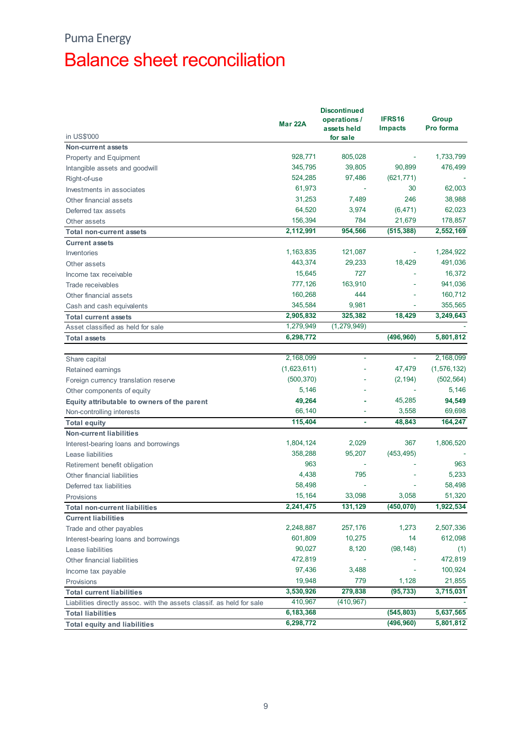## Puma Energy Balance sheet reconciliation

| <b>Puma Energy</b><br><b>Balance sheet reconciliation</b>             |                   |                          |            |               |
|-----------------------------------------------------------------------|-------------------|--------------------------|------------|---------------|
|                                                                       |                   |                          |            |               |
|                                                                       |                   |                          |            |               |
|                                                                       |                   |                          |            |               |
|                                                                       |                   |                          |            |               |
|                                                                       |                   |                          |            |               |
|                                                                       |                   |                          |            |               |
|                                                                       |                   |                          |            |               |
|                                                                       |                   |                          |            |               |
|                                                                       |                   |                          |            |               |
|                                                                       |                   |                          |            |               |
|                                                                       |                   |                          |            |               |
|                                                                       |                   | <b>Discontinued</b>      |            |               |
|                                                                       | Mar 22A           | operations /             | IFRS16     | <b>Group</b>  |
|                                                                       |                   | assets held              | Impacts    | Pro forma     |
| in US\$'000                                                           |                   | for sale                 |            |               |
| Non-current assets                                                    | 928,771           |                          |            | 1,733,799     |
| Property and Equipment                                                |                   | 805,028                  | ٠          |               |
| Intangible assets and goodwill                                        | 345,795           | 39,805                   | 90,899     | 476,499       |
| Right-of-use                                                          | 524,285           | 97,486                   | (621, 771) |               |
| Investments in associates                                             | 61,973            | $\sim$                   | 30         | 62,003        |
| Other financial assets                                                | 31,253            | 7,489                    | 246        | 38,988        |
| Deferred tax assets                                                   | 64,520            | 3,974                    | (6, 471)   | 62,023        |
| Other assets                                                          | 156,394           | 784                      | 21,679     | 178,857       |
| <b>Total non-current assets</b>                                       | 2,112,991         | 954,566                  | (515, 388) | 2,552,169     |
| <b>Current assets</b>                                                 |                   |                          |            |               |
| Inventories                                                           | 1,163,835         | 121,087                  | ÷          | 1,284,922     |
| Other assets                                                          | 443,374           | 29,233                   | 18,429     | 491,036       |
| Income tax receivable                                                 | 15,645            | 727                      | $\sim$     | 16,372        |
| Trade receivables                                                     | 777,126           | 163,910                  | $\sim$     | 941,036       |
| Other financial assets                                                | 160,268           | 444                      | $\sim$     | 160,712       |
| Cash and cash equivalents                                             | 345,584           | 9,981                    | $\sim$     | 355,565       |
| Total current assets                                                  | 2,905,832         | 325,382                  | 18,429     | 3,249,643     |
| Asset classified as held for sale                                     | 1,279,949         | (1, 279, 949)            |            | $\sim$        |
| <b>Total assets</b>                                                   | 6,298,772         |                          | (496, 960) | 5,801,812     |
|                                                                       |                   |                          |            |               |
| Share capital                                                         | 2,168,099         | $\sim$                   | $\sim$     | 2,168,099     |
| Retained earnings                                                     | (1,623,611)       | $\overline{\phantom{a}}$ | 47,479     | (1, 576, 132) |
| Foreign currency translation reserve                                  | (500, 370)        | $\sim$                   | (2, 194)   | (502, 564)    |
| Other components of equity                                            | 5,146             | $\overline{\phantom{a}}$ | $\sim$     | 5,146         |
| Equity attributable to owners of the parent                           | 49,264            | $\sim$                   | 45,285     | 94,549        |
| Non-controlling interests                                             | 66,140            | $\overline{\phantom{a}}$ | 3,558      | 69,698        |
| <b>Total equity</b>                                                   | 115,404           | ٠                        | 48,843     | 164,247       |
| <b>Non-current liabilities</b>                                        |                   |                          |            |               |
| Interest-bearing loans and borrowings                                 | 1,804,124         | 2,029                    | 367        | 1,806,520     |
| Lease liabilities                                                     | 358,288           | 95,207                   | (453, 495) |               |
| Retirement benefit obligation                                         | 963               | $\sim$                   |            | 963           |
| Other financial liabilities                                           | 4,438             | 795                      |            | 5,233         |
| Deferred tax liabilities                                              | 58,498            |                          |            | 58,498        |
| Provisions                                                            | 15,164            | 33,098                   | 3,058      | 51,320        |
|                                                                       | 2,241,475         | 131,129                  |            | 1,922,534     |
| <b>Total non-current liabilities</b>                                  |                   |                          | (450, 070) |               |
| <b>Current liabilities</b>                                            | 2,248,887         |                          | 1,273      | 2,507,336     |
| Trade and other payables                                              |                   | 257,176                  | 14         | 612,098       |
| Interest-bearing loans and borrowings                                 | 601,809<br>90,027 | 10,275<br>8,120          |            |               |
| Lease liabilities                                                     |                   |                          | (98, 148)  | (1)           |
| Other financial liabilities                                           | 472,819           | $\sim$                   | $\sim$     | 472,819       |
| Income tax payable                                                    | 97,436            | 3,488                    | ٠          | 100,924       |
| Provisions                                                            | 19,948            | 779                      | 1,128      | 21,855        |
| <b>Total current liabilities</b>                                      | 3,530,926         | 279,838                  | (95, 733)  | 3,715,031     |
| Liabilities directly assoc. with the assets classif. as held for sale | 410,967           | (410, 967)               |            |               |
| <b>Total liabilities</b>                                              | 6,183,368         |                          | (545, 803) | 5,637,565     |
| <b>Total equity and liabilities</b>                                   | 6,298,772         |                          | (496, 960) | 5,801,812     |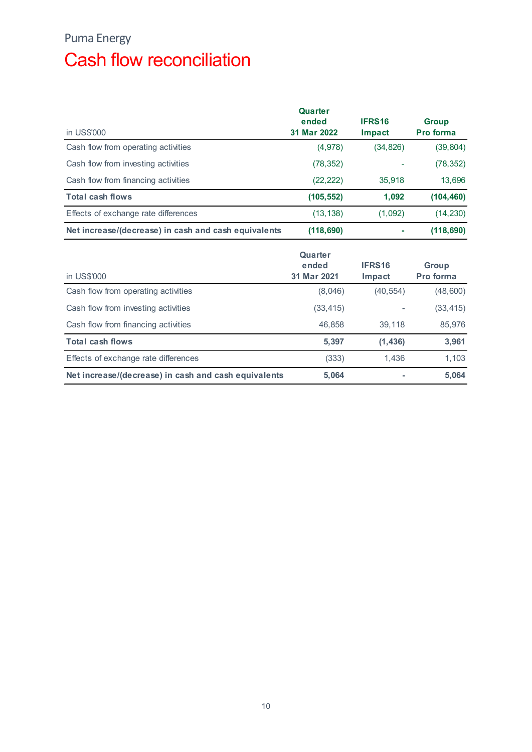## Puma Energy Cash flow reconciliation

| <b>Puma Energy</b>                                   |                                 |                  |                    |
|------------------------------------------------------|---------------------------------|------------------|--------------------|
| <b>Cash flow reconciliation</b>                      |                                 |                  |                    |
|                                                      |                                 |                  |                    |
|                                                      | Quarter<br>ended                | IFRS16           | <b>Group</b>       |
| in US\$'000                                          | 31 Mar 2022                     | Impact           | Pro forma          |
| Cash flow from operating activities                  | (4,978)                         | (34, 826)        | (39, 804)          |
| Cash flow from investing activities                  | (78, 352)                       | ÷,               | (78, 352)          |
| Cash flow from financing activities                  | (22, 222)                       | 35,918           | 13,696             |
| <b>Total cash flows</b>                              | (105, 552)                      | 1,092            | (104, 460)         |
| Effects of exchange rate differences                 | (13, 138)                       | (1,092)          | (14, 230)          |
| Net increase/(decrease) in cash and cash equivalents | (118, 690)                      | $\sim$           | (118, 690)         |
| in US\$'000                                          | Quarter<br>ended<br>31 Mar 2021 | IFRS16<br>Impact | Group<br>Pro forma |
| Cash flow from operating activities                  | (8,046)                         | (40, 554)        | (48,600)           |
| Cash flow from investing activities                  | (33, 415)                       | ÷                | (33, 415)          |
|                                                      |                                 |                  |                    |
| Cash flow from financing activities                  | 46,858                          | 39,118           | 85,976             |
| <b>Total cash flows</b>                              | 5,397                           | (1, 436)         | 3,961              |

| in US\$'000                                          | Quarter<br>ended<br>31 Mar 2022 | IFRS16<br>Impact         | <b>Group</b><br><b>Pro forma</b> |
|------------------------------------------------------|---------------------------------|--------------------------|----------------------------------|
| Cash flow from operating activities                  | (4,978)                         | (34, 826)                | (39, 804)                        |
| Cash flow from investing activities                  | (78, 352)                       |                          | (78, 352)                        |
| Cash flow from financing activities                  | (22, 222)                       | 35,918                   | 13,696                           |
| <b>Total cash flows</b>                              | (105, 552)                      | 1,092                    | (104, 460)                       |
| Effects of exchange rate differences                 | (13, 138)                       | (1,092)                  | (14, 230)                        |
| Net increase/(decrease) in cash and cash equivalents | (118, 690)                      | $\sim$                   | (118, 690)                       |
| in US\$'000                                          | Quarter<br>ended<br>31 Mar 2021 | IFRS16<br>Impact         | <b>Group</b><br>Pro forma        |
| Cash flow from operating activities                  | (8,046)                         | (40, 554)                | (48,600)                         |
| Cash flow from investing activities                  | (33, 415)                       | $\overline{\phantom{a}}$ | (33, 415)                        |
| Cash flow from financing activities                  | 46,858                          | 39,118                   | 85,976                           |
| <b>Total cash flows</b>                              | 5,397                           | (1, 436)                 | 3,961                            |
| Effects of exchange rate differences                 | (333)                           | 1,436                    | 1,103                            |
| Net increase/(decrease) in cash and cash equivalents | 5,064                           | $\sim$                   | 5,064                            |